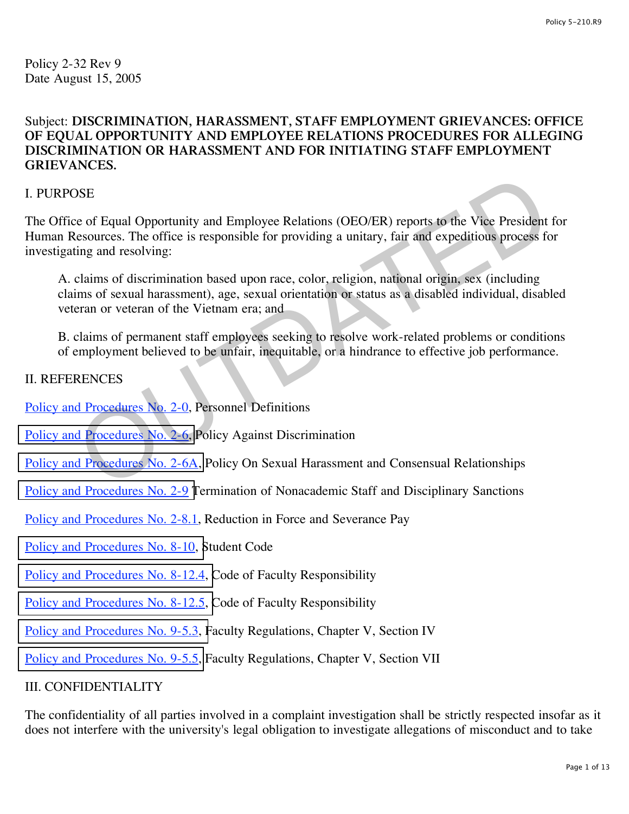Policy 2-32 Rev 9 Date August 15, 2005

# Subject: **DISCRIMINATION, HARASSMENT, STAFF EMPLOYMENT GRIEVANCES: OFFICE OF EQUAL OPPORTUNITY AND EMPLOYEE RELATIONS PROCEDURES FOR ALLEGING DISCRIMINATION OR HARASSMENT AND FOR INITIATING STAFF EMPLOYMENT GRIEVANCES.**

## I. PURPOSE

The Office of Equal Opportunity and Employee Relations (OEO/ER) reports to the Vice President for Human Resources. The office is responsible for providing a unitary, fair and expeditious process for investigating and resolving: [O](http://www.regulations.utah.edu/humanResources/5-107.html)SE<br>
SEE<br>
escources. The office is responsible for providing a unitary, fair and expeditious process for<br>
discussions of discrimination based upon race, color, religion, national origin, sex (including<br>
claims of discrimin

A. claims of discrimination based upon race, color, religion, national origin, sex (including claims of sexual harassment), age, sexual orientation or status as a disabled individual, disabled veteran or veteran of the Vietnam era; and

B. claims of permanent staff employees seeking to resolve work-related problems or conditions of employment believed to be unfair, inequitable, or a hindrance to effective job performance.

# II. REFERENCES

[Policy and Procedures No. 2-0,](http://www.regulations.utah.edu/humanResources/5-001.html) Personnel Definitions

[Policy and Procedures No. 2-6,](http://www.regulations.utah.edu/humanResources/5-106.html) Policy Against Discrimination

Policy and Procedures No. 2-6A, Policy On Sexual Harassment and Consensual Relationships

- [Policy and Procedures No. 2-9 T](http://www.regulations.utah.edu/humanResources/5-111.html)ermination of Nonacademic Staff and Disciplinary Sanctions
- [Policy and Procedures No. 2-](http://www.regulations.utah.edu/humanResources/5-110.html)8.1, Reduction in Force and Severance Pay
- [Policy and Procedures No. 8-10, S](http://www.regulations.utah.edu/academics/6-400.html)tudent Code

[Policy and Procedures No. 8-12.4, C](http://www.regulations.utah.edu/academics/6-316.html)ode of Faculty Responsibility

- [Policy and Procedures No. 8-12.5, C](http://www.regulations.utah.edu/academics/6-316.html)ode of Faculty Responsibility
- [Policy and Procedures No. 9-5.3, F](http://www.regulations.utah.edu/academics/6-305.html)aculty Regulations, Chapter V, Section IV
- [Policy and Procedures No. 9-5.5,](http://www.regulations.utah.edu/academics/6-308.html) Faculty Regulations, Chapter V, Section VII

#### III. CONFIDENTIALITY

The confidentiality of all parties involved in a complaint investigation shall be strictly respected insofar as it does not interfere with the university's legal obligation to investigate allegations of misconduct and to take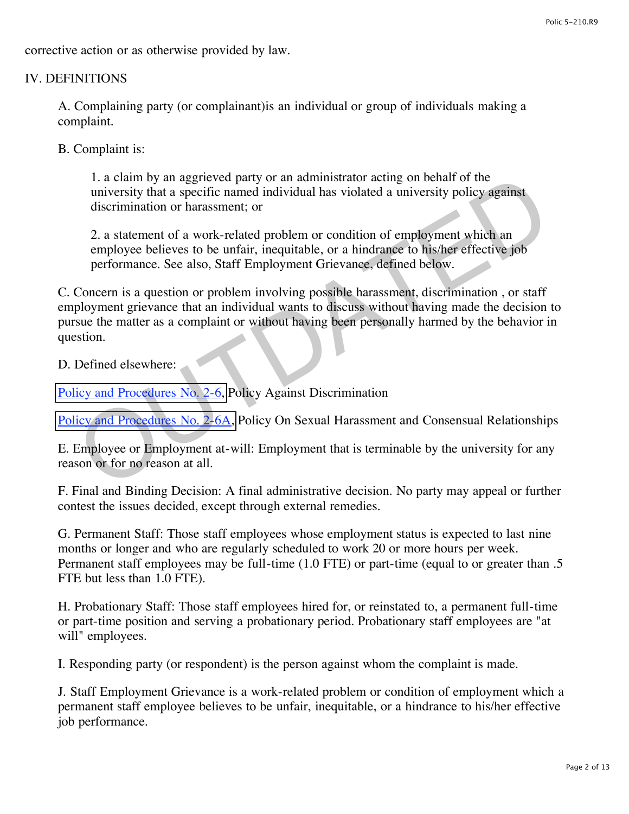corrective action or as otherwise provided by law.

# IV. DEFINITIONS

A. Complaining party (or complainant)is an individual or group of individuals making a complaint.

B. Complaint is:

1. a claim by an aggrieved party or an administrator acting on behalf of the university that a specific named individual has violated a university policy against discrimination or harassment; or

2. a statement of a work-related problem or condition of employment which an employee believes to be unfair, inequitable, or a hindrance to his/her effective job performance. See also, Staff Employment Grievance, defined below.

C. Concern is a question or problem involving possible harassment, discrimination , or staff employment grievance that an individual wants to discuss without having made the decision to pursue the matter as a complaint or without having been personally harmed by the behavior in question. 1. a claim by an aggreved party or an administrator acting on behalf of the<br>
university that a specific named individual has violated a university policy against<br>
discrimination or harassment; or<br>
2. a statement of a work

D. Defined elsewhere:

Policy and Procedures No. 2-6, Policy Against Discrimination

Policy and Procedures No. 2-6A, Policy On Sexual Harassment and Consensual Relationships

E. Employee or Employment at-will: Employment that is terminable by the university for any reason or for no reason at all.

F. Final and Binding Decision: A final administrative decision. No party may appeal or further contest the issues decided, except through external remedies.

G. Permanent Staff: Those staff employees whose employment status is expected to last nine months or longer and who are regularly scheduled to work 20 or more hours per week. Permanent staff employees may be full-time (1.0 FTE) or part-time (equal to or greater than .5 FTE but less than 1.0 FTE).

H. Probationary Staff: Those staff employees hired for, or reinstated to, a permanent full-time or part-time position and serving a probationary period. Probationary staff employees are "at will" employees.

I. Responding party (or respondent) is the person against whom the complaint is made.

J. Staff Employment Grievance is a work-related problem or condition of employment which a permanent staff employee believes to be unfair, inequitable, or a hindrance to his/her effective job performance.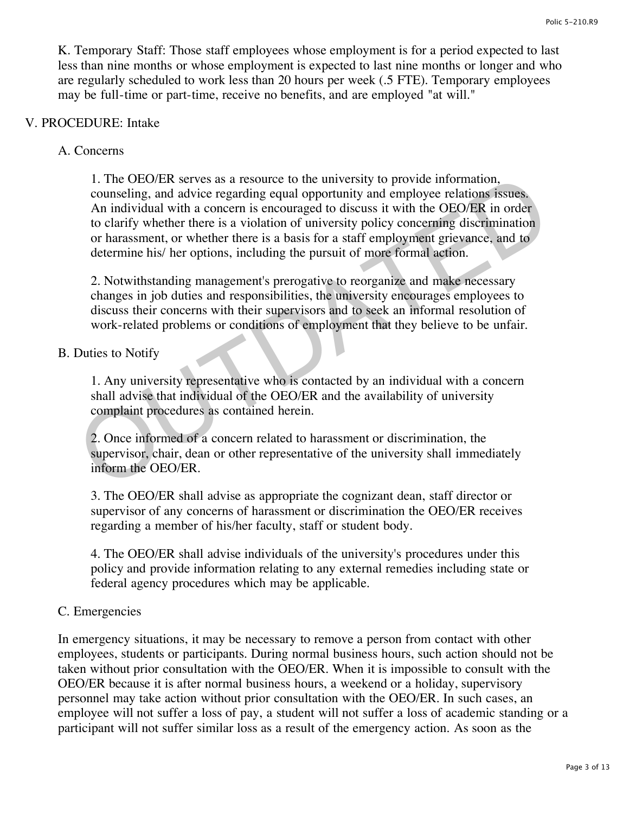K. Temporary Staff: Those staff employees whose employment is for a period expected to last less than nine months or whose employment is expected to last nine months or longer and who are regularly scheduled to work less than 20 hours per week (.5 FTE). Temporary employees may be full-time or part-time, receive no benefits, and are employed "at will."

#### V. PROCEDURE: Intake

## A. Concerns

1. The OEO/ER serves as a resource to the university to provide information, counseling, and advice regarding equal opportunity and employee relations issues. An individual with a concern is encouraged to discuss it with the OEO/ER in order to clarify whether there is a violation of university policy concerning discrimination or harassment, or whether there is a basis for a staff employment grievance, and to determine his/ her options, including the pursuit of more formal action. 1. The OEO/ER serves as a resource to the university to provide information,<br>conseling, and advice regarding equal opportunity and employee relations issues.<br>An individual with a concern is encouraged to discuss it with th

2. Notwithstanding management's prerogative to reorganize and make necessary changes in job duties and responsibilities, the university encourages employees to discuss their concerns with their supervisors and to seek an informal resolution of work-related problems or conditions of employment that they believe to be unfair.

#### B. Duties to Notify

1. Any university representative who is contacted by an individual with a concern shall advise that individual of the OEO/ER and the availability of university complaint procedures as contained herein.

2. Once informed of a concern related to harassment or discrimination, the supervisor, chair, dean or other representative of the university shall immediately inform the OEO/ER.

3. The OEO/ER shall advise as appropriate the cognizant dean, staff director or supervisor of any concerns of harassment or discrimination the OEO/ER receives regarding a member of his/her faculty, staff or student body.

4. The OEO/ER shall advise individuals of the university's procedures under this policy and provide information relating to any external remedies including state or federal agency procedures which may be applicable.

# C. Emergencies

In emergency situations, it may be necessary to remove a person from contact with other employees, students or participants. During normal business hours, such action should not be taken without prior consultation with the OEO/ER. When it is impossible to consult with the OEO/ER because it is after normal business hours, a weekend or a holiday, supervisory personnel may take action without prior consultation with the OEO/ER. In such cases, an employee will not suffer a loss of pay, a student will not suffer a loss of academic standing or a participant will not suffer similar loss as a result of the emergency action. As soon as the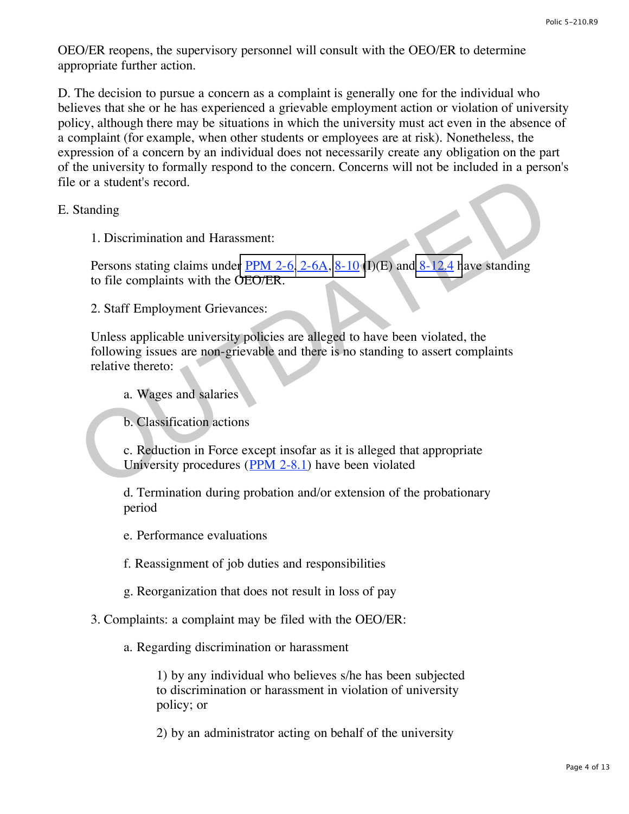OEO/ER reopens, the supervisory personnel will consult with the OEO/ER to determine appropriate further action.

D. The decision to pursue a concern as a complaint is generally one for the individual who believes that she or he has experienced a grievable employment action or violation of university policy, although there may be situations in which the university must act even in the absence of a complaint (for example, when other students or employees are at risk). Nonetheless, the expression of a concern by an individual does not necessarily create any obligation on the part of the university to formally respond to the concern. Concerns will not be included in a person's file or a student's record.

E. Standing

1. Discrimination and Harassment:

Persons stating claims under  $PPM 2-6, 2-6A, 8-10$  (I)(E) and  $8-12.4$  have standing</u> to file complaints with the OEO/ER.

2. Staff Employment Grievances:

Unless applicable university policies are alleged to have been violated, the following issues are non-grievable and there is no standing to assert complaints relative thereto: or a student's record.<br>
Standing<br>
1. Discrimination and Harassment:<br>
Persons stating claims under <u>PPM 2-6, 2-6[A](http://www.regulations.utah.edu/academics/6-400.html), 8-10</u> (D)(E) and 8-12.4 have standing<br>
to file complaints with the OEO/ER.<br>
2. Staff Employment Grievances:

a. Wages and salaries

b. Classification actions

c. Reduction in Force except insofar as it is alleged that appropriate University procedures (PPM 2-8.1) have been violated

d. Termination during probation and/or extension of the probationary period

e. Performance evaluations

f. Reassignment of job duties and responsibilities

g. Reorganization that does not result in loss of pay

3. Complaints: a complaint may be filed with the OEO/ER:

a. Regarding discrimination or harassment

1) by any individual who believes s/he has been subjected to discrimination or harassment in violation of university policy; or

2) by an administrator acting on behalf of the university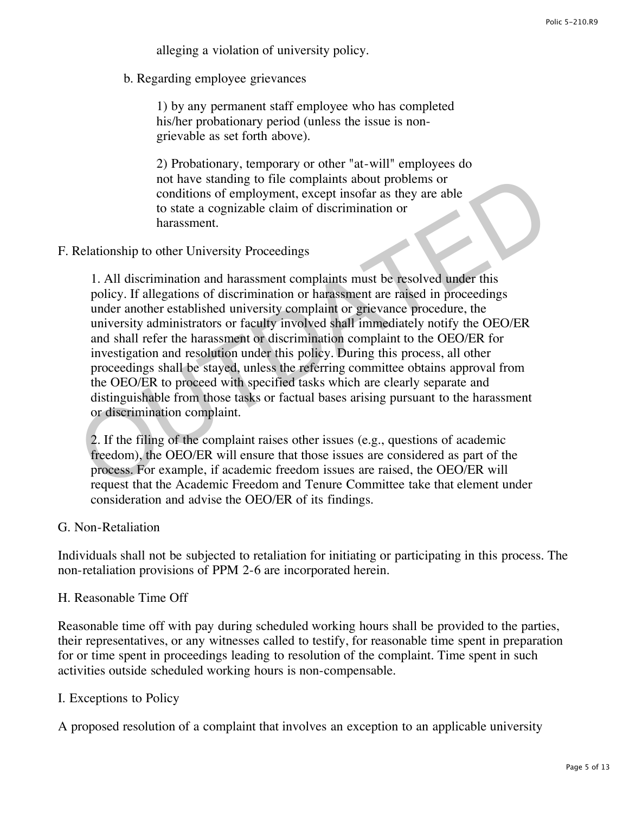alleging a violation of university policy.

b. Regarding employee grievances

1) by any permanent staff employee who has completed his/her probationary period (unless the issue is nongrievable as set forth above).

2) Probationary, temporary or other "at-will" employees do not have standing to file complaints about problems or conditions of employment, except insofar as they are able to state a cognizable claim of discrimination or harassment.

F. Relationship to other University Proceedings

1. All discrimination and harassment complaints must be resolved under this policy. If allegations of discrimination or harassment are raised in proceedings under another established university complaint or grievance procedure, the university administrators or faculty involved shall immediately notify the OEO/ER and shall refer the harassment or discrimination complaint to the OEO/ER for investigation and resolution under this policy. During this process, all other proceedings shall be stayed, unless the referring committee obtains approval from the OEO/ER to proceed with specified tasks which are clearly separate and distinguishable from those tasks or factual bases arising pursuant to the harassment or discrimination complaint. not have standing to file complaints about problems or<br>conditions of employment, except insofar as they are able<br>to state a cognizable claim of discrimination or<br>harassment.<br>Aelationship to other University Proceedings<br>1.

2. If the filing of the complaint raises other issues (e.g., questions of academic freedom), the OEO/ER will ensure that those issues are considered as part of the process. For example, if academic freedom issues are raised, the OEO/ER will request that the Academic Freedom and Tenure Committee take that element under consideration and advise the OEO/ER of its findings.

#### G. Non-Retaliation

Individuals shall not be subjected to retaliation for initiating or participating in this process. The non-retaliation provisions of PPM 2-6 are incorporated herein.

#### H. Reasonable Time Off

Reasonable time off with pay during scheduled working hours shall be provided to the parties, their representatives, or any witnesses called to testify, for reasonable time spent in preparation for or time spent in proceedings leading to resolution of the complaint. Time spent in such activities outside scheduled working hours is non-compensable.

#### I. Exceptions to Policy

A proposed resolution of a complaint that involves an exception to an applicable university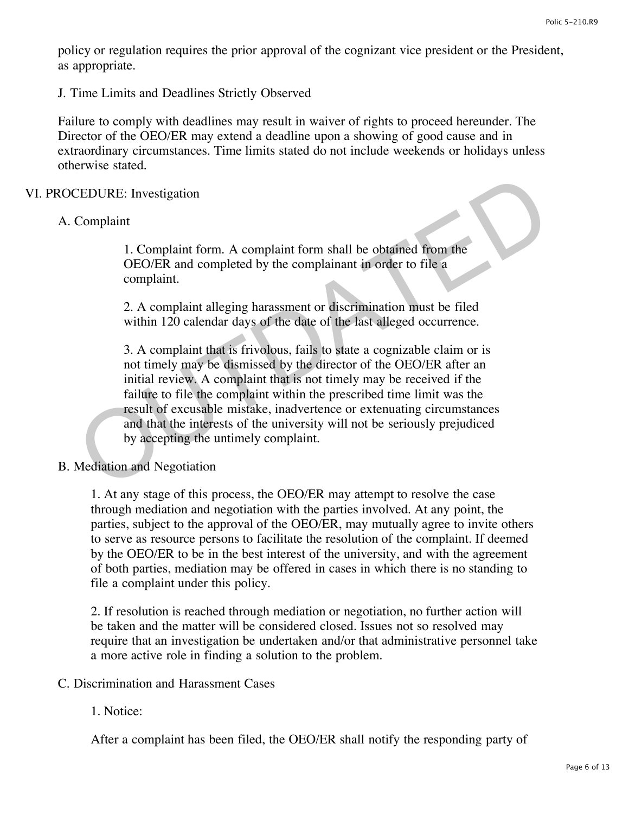policy or regulation requires the prior approval of the cognizant vice president or the President, as appropriate.

J. Time Limits and Deadlines Strictly Observed

Failure to comply with deadlines may result in waiver of rights to proceed hereunder. The Director of the OEO/ER may extend a deadline upon a showing of good cause and in extraordinary circumstances. Time limits stated do not include weekends or holidays unless otherwise stated.

## VI. PROCEDURE: Investigation

## A. Complaint

1. Complaint form. A complaint form shall be obtained from the OEO/ER and completed by the complainant in order to file a complaint.

2. A complaint alleging harassment or discrimination must be filed within 120 calendar days of the date of the last alleged occurrence.

3. A complaint that is frivolous, fails to state a cognizable claim or is not timely may be dismissed by the director of the OEO/ER after an initial review. A complaint that is not timely may be received if the failure to file the complaint within the prescribed time limit was the result of excusable mistake, inadvertence or extenuating circumstances and that the interests of the university will not be seriously prejudiced by accepting the untimely complaint. COMPLAINT COMPLAINT COMPLAINT COMPLAINT COMPLAINT COMPLAINT COMPLAINT INCOLUTER AND COMPLAINT IN COMPLAINT COMPLAINT 2. A complaint alleging harassment or discrimination must be filed within 120 calendar days of the date o

# B. Mediation and Negotiation

1. At any stage of this process, the OEO/ER may attempt to resolve the case through mediation and negotiation with the parties involved. At any point, the parties, subject to the approval of the OEO/ER, may mutually agree to invite others to serve as resource persons to facilitate the resolution of the complaint. If deemed by the OEO/ER to be in the best interest of the university, and with the agreement of both parties, mediation may be offered in cases in which there is no standing to file a complaint under this policy.

2. If resolution is reached through mediation or negotiation, no further action will be taken and the matter will be considered closed. Issues not so resolved may require that an investigation be undertaken and/or that administrative personnel take a more active role in finding a solution to the problem.

### C. Discrimination and Harassment Cases

## 1. Notice:

After a complaint has been filed, the OEO/ER shall notify the responding party of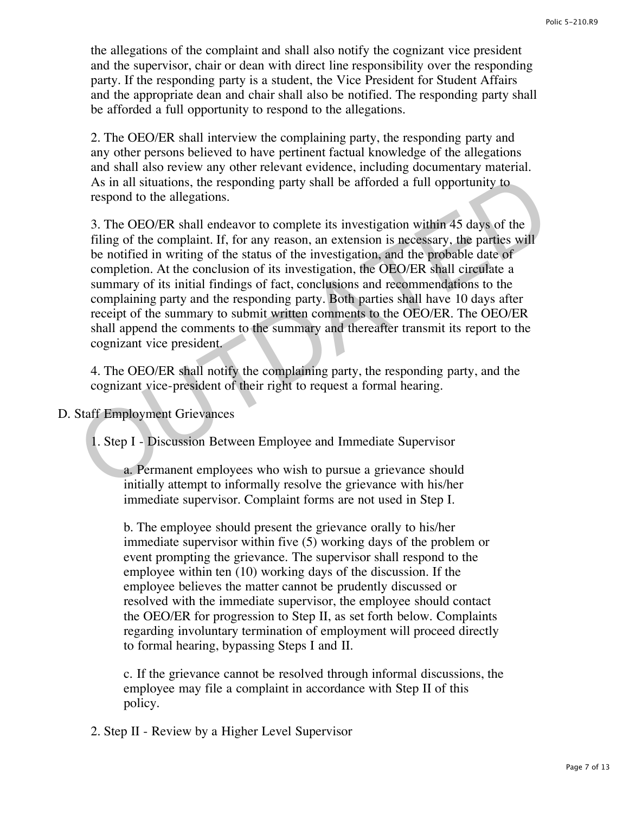the allegations of the complaint and shall also notify the cognizant vice president and the supervisor, chair or dean with direct line responsibility over the responding party. If the responding party is a student, the Vice President for Student Affairs and the appropriate dean and chair shall also be notified. The responding party shall be afforded a full opportunity to respond to the allegations.

2. The OEO/ER shall interview the complaining party, the responding party and any other persons believed to have pertinent factual knowledge of the allegations and shall also review any other relevant evidence, including documentary material. As in all situations, the responding party shall be afforded a full opportunity to respond to the allegations.

3. The OEO/ER shall endeavor to complete its investigation within 45 days of the filing of the complaint. If, for any reason, an extension is necessary, the parties will be notified in writing of the status of the investigation, and the probable date of completion. At the conclusion of its investigation, the OEO/ER shall circulate a summary of its initial findings of fact, conclusions and recommendations to the complaining party and the responding party. Both parties shall have 10 days after receipt of the summary to submit written comments to the OEO/ER. The OEO/ER shall append the comments to the summary and thereafter transmit its report to the cognizant vice president. As in all situations, the responding party shall be afforded a full opportunity to<br>respond to the allegations.<br>3. The OEO/ER shall endeavor to complete its investigation within 45 days of the<br>filing of the complaint. If,

4. The OEO/ER shall notify the complaining party, the responding party, and the cognizant vice-president of their right to request a formal hearing.

D. Staff Employment Grievances

1. Step I - Discussion Between Employee and Immediate Supervisor

a. Permanent employees who wish to pursue a grievance should initially attempt to informally resolve the grievance with his/her immediate supervisor. Complaint forms are not used in Step I.

b. The employee should present the grievance orally to his/her immediate supervisor within five (5) working days of the problem or event prompting the grievance. The supervisor shall respond to the employee within ten (10) working days of the discussion. If the employee believes the matter cannot be prudently discussed or resolved with the immediate supervisor, the employee should contact the OEO/ER for progression to Step II, as set forth below. Complaints regarding involuntary termination of employment will proceed directly to formal hearing, bypassing Steps I and II.

c. If the grievance cannot be resolved through informal discussions, the employee may file a complaint in accordance with Step II of this policy.

2. Step II - Review by a Higher Level Supervisor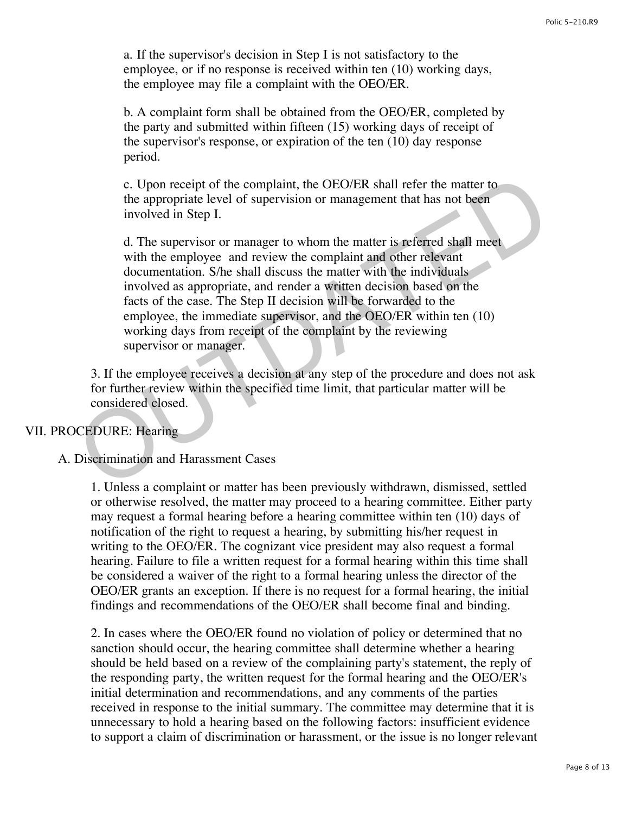a. If the supervisor's decision in Step I is not satisfactory to the employee, or if no response is received within ten (10) working days, the employee may file a complaint with the OEO/ER.

b. A complaint form shall be obtained from the OEO/ER, completed by the party and submitted within fifteen (15) working days of receipt of the supervisor's response, or expiration of the ten (10) day response period.

c. Upon receipt of the complaint, the OEO/ER shall refer the matter to the appropriate level of supervision or management that has not been involved in Step I.

d. The supervisor or manager to whom the matter is referred shall meet with the employee and review the complaint and other relevant documentation. S/he shall discuss the matter with the individuals involved as appropriate, and render a written decision based on the facts of the case. The Step II decision will be forwarded to the employee, the immediate supervisor, and the OEO/ER within ten (10) working days from receipt of the complaint by the reviewing supervisor or manager. C. Upon receipt of the complaint, the OEO/ER shall refer the matter to<br>the appropriate level of supervision or management that has not been<br>involved in Step I.<br>d. The supervisor or manager to whom the matter is referred sh

3. If the employee receives a decision at any step of the procedure and does not ask for further review within the specified time limit, that particular matter will be considered closed.

# VII. PROCEDURE: Hearing

## A. Discrimination and Harassment Cases

1. Unless a complaint or matter has been previously withdrawn, dismissed, settled or otherwise resolved, the matter may proceed to a hearing committee. Either party may request a formal hearing before a hearing committee within ten (10) days of notification of the right to request a hearing, by submitting his/her request in writing to the OEO/ER. The cognizant vice president may also request a formal hearing. Failure to file a written request for a formal hearing within this time shall be considered a waiver of the right to a formal hearing unless the director of the OEO/ER grants an exception. If there is no request for a formal hearing, the initial findings and recommendations of the OEO/ER shall become final and binding.

2. In cases where the OEO/ER found no violation of policy or determined that no sanction should occur, the hearing committee shall determine whether a hearing should be held based on a review of the complaining party's statement, the reply of the responding party, the written request for the formal hearing and the OEO/ER's initial determination and recommendations, and any comments of the parties received in response to the initial summary. The committee may determine that it is unnecessary to hold a hearing based on the following factors: insufficient evidence to support a claim of discrimination or harassment, or the issue is no longer relevant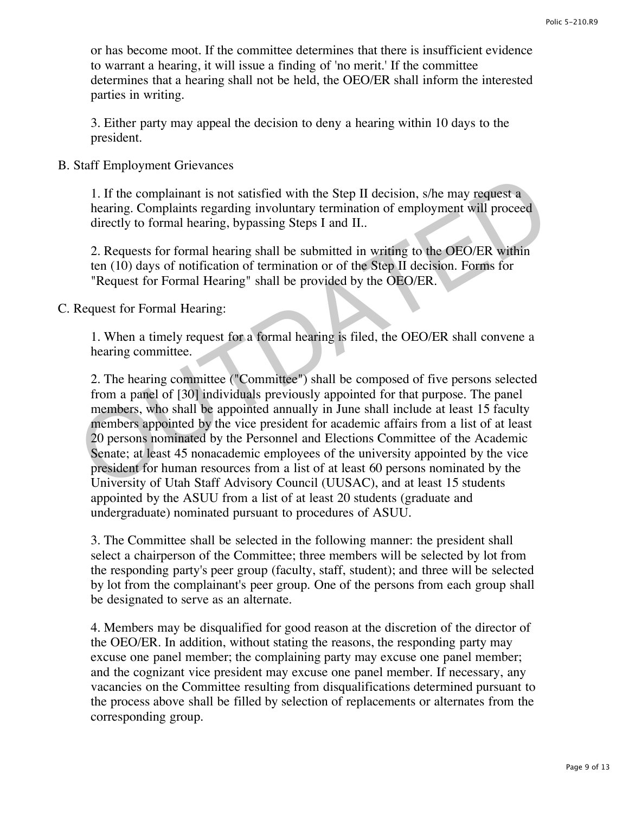or has become moot. If the committee determines that there is insufficient evidence to warrant a hearing, it will issue a finding of 'no merit.' If the committee determines that a hearing shall not be held, the OEO/ER shall inform the interested parties in writing.

3. Either party may appeal the decision to deny a hearing within 10 days to the president.

## B. Staff Employment Grievances

1. If the complainant is not satisfied with the Step II decision, s/he may request a hearing. Complaints regarding involuntary termination of employment will proceed directly to formal hearing, bypassing Steps I and II..

2. Requests for formal hearing shall be submitted in writing to the OEO/ER within ten (10) days of notification of termination or of the Step II decision. Forms for "Request for Formal Hearing" shall be provided by the OEO/ER.

C. Request for Formal Hearing:

1. When a timely request for a formal hearing is filed, the OEO/ER shall convene a hearing committee.

2. The hearing committee ("Committee") shall be composed of five persons selected from a panel of [30] individuals previously appointed for that purpose. The panel members, who shall be appointed annually in June shall include at least 15 faculty members appointed by the vice president for academic affairs from a list of at least 20 persons nominated by the Personnel and Elections Committee of the Academic Senate; at least 45 nonacademic employees of the university appointed by the vice president for human resources from a list of at least 60 persons nominated by the University of Utah Staff Advisory Council (UUSAC), and at least 15 students appointed by the ASUU from a list of at least 20 students (graduate and undergraduate) nominated pursuant to procedures of ASUU. 1. If the complainant is not satisfied with the Step II decision, s/he may request a<br>hearing. Complaints regarding involuntary termination of employment will proceed<br>directly to formal hearing, bypassing Steps I and II..<br>

3. The Committee shall be selected in the following manner: the president shall select a chairperson of the Committee; three members will be selected by lot from the responding party's peer group (faculty, staff, student); and three will be selected by lot from the complainant's peer group. One of the persons from each group shall be designated to serve as an alternate.

4. Members may be disqualified for good reason at the discretion of the director of the OEO/ER. In addition, without stating the reasons, the responding party may excuse one panel member; the complaining party may excuse one panel member; and the cognizant vice president may excuse one panel member. If necessary, any vacancies on the Committee resulting from disqualifications determined pursuant to the process above shall be filled by selection of replacements or alternates from the corresponding group.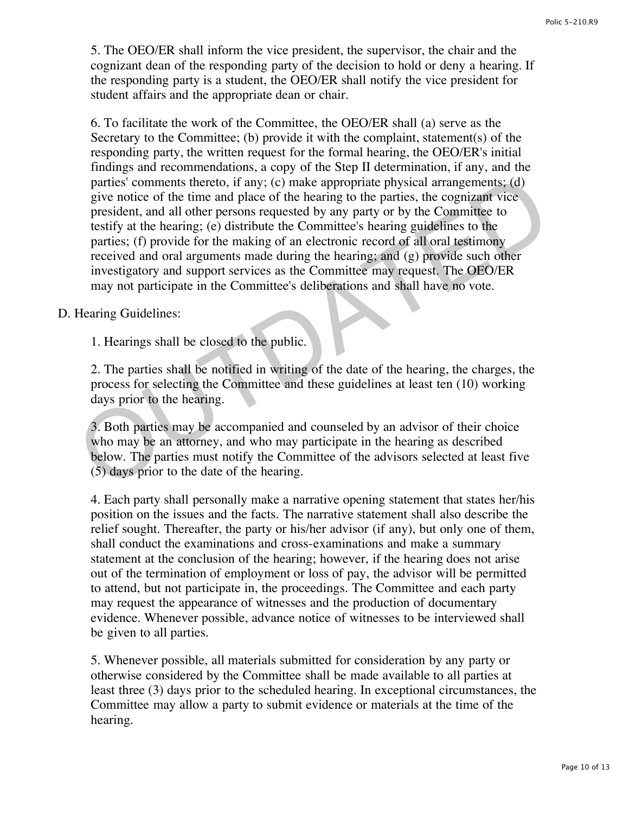5. The OEO/ER shall inform the vice president, the supervisor, the chair and the cognizant dean of the responding party of the decision to hold or deny a hearing. If the responding party is a student, the OEO/ER shall notify the vice president for student affairs and the appropriate dean or chair.

6. To facilitate the work of the Committee, the OEO/ER shall (a) serve as the Secretary to the Committee; (b) provide it with the complaint, statement(s) of the responding party, the written request for the formal hearing, the OEO/ER's initial findings and recommendations, a copy of the Step II determination, if any, and the parties' comments thereto, if any; (c) make appropriate physical arrangements; (d) give notice of the time and place of the hearing to the parties, the cognizant vice president, and all other persons requested by any party or by the Committee to testify at the hearing; (e) distribute the Committee's hearing guidelines to the parties; (f) provide for the making of an electronic record of all oral testimony received and oral arguments made during the hearing; and (g) provide such other investigatory and support services as the Committee may request. The OEO/ER may not participate in the Committee's deliberations and shall have no vote. parties' comments thereto, if any; (c) make appropriate physical arrangements; (d) give notice of the time and place of the hearing to the partise, the cognizant vice president, and all other persons requested by any part

# D. Hearing Guidelines:

1. Hearings shall be closed to the public.

2. The parties shall be notified in writing of the date of the hearing, the charges, the process for selecting the Committee and these guidelines at least ten (10) working days prior to the hearing.

3. Both parties may be accompanied and counseled by an advisor of their choice who may be an attorney, and who may participate in the hearing as described below. The parties must notify the Committee of the advisors selected at least five (5) days prior to the date of the hearing.

4. Each party shall personally make a narrative opening statement that states her/his position on the issues and the facts. The narrative statement shall also describe the relief sought. Thereafter, the party or his/her advisor (if any), but only one of them, shall conduct the examinations and cross-examinations and make a summary statement at the conclusion of the hearing; however, if the hearing does not arise out of the termination of employment or loss of pay, the advisor will be permitted to attend, but not participate in, the proceedings. The Committee and each party may request the appearance of witnesses and the production of documentary evidence. Whenever possible, advance notice of witnesses to be interviewed shall be given to all parties.

5. Whenever possible, all materials submitted for consideration by any party or otherwise considered by the Committee shall be made available to all parties at least three (3) days prior to the scheduled hearing. In exceptional circumstances, the Committee may allow a party to submit evidence or materials at the time of the hearing.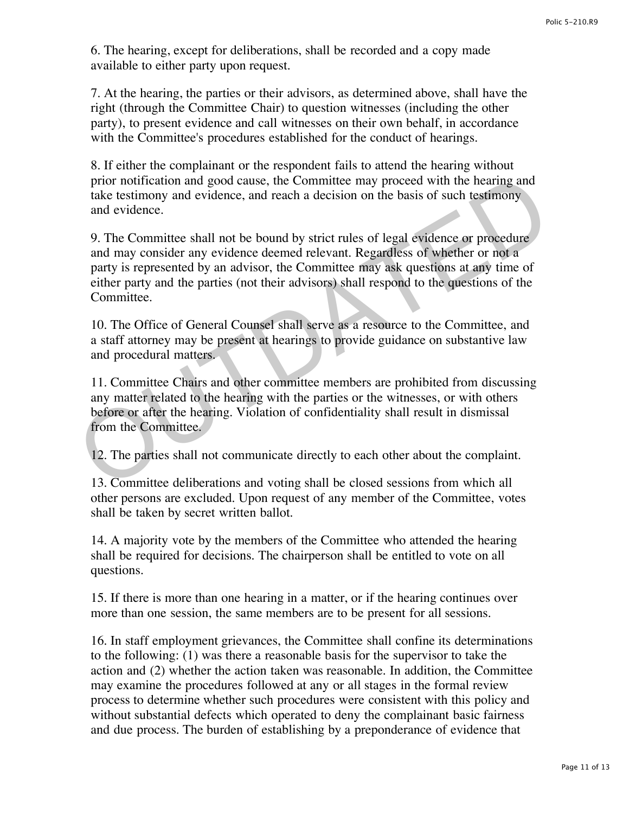6. The hearing, except for deliberations, shall be recorded and a copy made available to either party upon request.

7. At the hearing, the parties or their advisors, as determined above, shall have the right (through the Committee Chair) to question witnesses (including the other party), to present evidence and call witnesses on their own behalf, in accordance with the Committee's procedures established for the conduct of hearings.

8. If either the complainant or the respondent fails to attend the hearing without prior notification and good cause, the Committee may proceed with the hearing and take testimony and evidence, and reach a decision on the basis of such testimony and evidence.

9. The Committee shall not be bound by strict rules of legal evidence or procedure and may consider any evidence deemed relevant. Regardless of whether or not a party is represented by an advisor, the Committee may ask questions at any time of either party and the parties (not their advisors) shall respond to the questions of the Committee. prior notification and good cause, the Committee may proceed with the hearing and<br>take testimony and evidence, and reach a decision on the basis of such testimony<br>and evidence. And reach a decision on the basis of such tes

10. The Office of General Counsel shall serve as a resource to the Committee, and a staff attorney may be present at hearings to provide guidance on substantive law and procedural matters.

11. Committee Chairs and other committee members are prohibited from discussing any matter related to the hearing with the parties or the witnesses, or with others before or after the hearing. Violation of confidentiality shall result in dismissal from the Committee.

12. The parties shall not communicate directly to each other about the complaint.

13. Committee deliberations and voting shall be closed sessions from which all other persons are excluded. Upon request of any member of the Committee, votes shall be taken by secret written ballot.

14. A majority vote by the members of the Committee who attended the hearing shall be required for decisions. The chairperson shall be entitled to vote on all questions.

15. If there is more than one hearing in a matter, or if the hearing continues over more than one session, the same members are to be present for all sessions.

16. In staff employment grievances, the Committee shall confine its determinations to the following: (1) was there a reasonable basis for the supervisor to take the action and (2) whether the action taken was reasonable. In addition, the Committee may examine the procedures followed at any or all stages in the formal review process to determine whether such procedures were consistent with this policy and without substantial defects which operated to deny the complainant basic fairness and due process. The burden of establishing by a preponderance of evidence that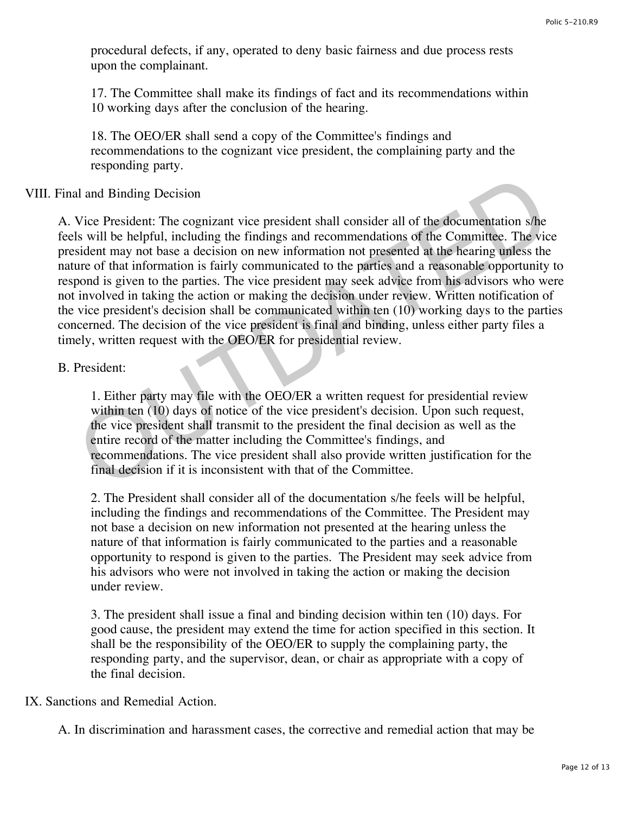procedural defects, if any, operated to deny basic fairness and due process rests upon the complainant.

17. The Committee shall make its findings of fact and its recommendations within 10 working days after the conclusion of the hearing.

18. The OEO/ER shall send a copy of the Committee's findings and recommendations to the cognizant vice president, the complaining party and the responding party.

# VIII. Final and Binding Decision

A. Vice President: The cognizant vice president shall consider all of the documentation s/he feels will be helpful, including the findings and recommendations of the Committee. The vice president may not base a decision on new information not presented at the hearing unless the nature of that information is fairly communicated to the parties and a reasonable opportunity to respond is given to the parties. The vice president may seek advice from his advisors who were not involved in taking the action or making the decision under review. Written notification of the vice president's decision shall be communicated within ten (10) working days to the parties concerned. The decision of the vice president is final and binding, unless either party files a timely, written request with the OEO/ER for presidential review. al and Binding Decision<br>Vice President: The cognizant vice president shall consider all of the documentation s/he<br>Is will be helpful, including the findings and recommendations of the Committee. The vic<br>sident may not base

## B. President:

1. Either party may file with the OEO/ER a written request for presidential review within ten (10) days of notice of the vice president's decision. Upon such request, the vice president shall transmit to the president the final decision as well as the entire record of the matter including the Committee's findings, and recommendations. The vice president shall also provide written justification for the final decision if it is inconsistent with that of the Committee.

2. The President shall consider all of the documentation s/he feels will be helpful, including the findings and recommendations of the Committee. The President may not base a decision on new information not presented at the hearing unless the nature of that information is fairly communicated to the parties and a reasonable opportunity to respond is given to the parties. The President may seek advice from his advisors who were not involved in taking the action or making the decision under review.

3. The president shall issue a final and binding decision within ten (10) days. For good cause, the president may extend the time for action specified in this section. It shall be the responsibility of the OEO/ER to supply the complaining party, the responding party, and the supervisor, dean, or chair as appropriate with a copy of the final decision.

# IX. Sanctions and Remedial Action.

A. In discrimination and harassment cases, the corrective and remedial action that may be